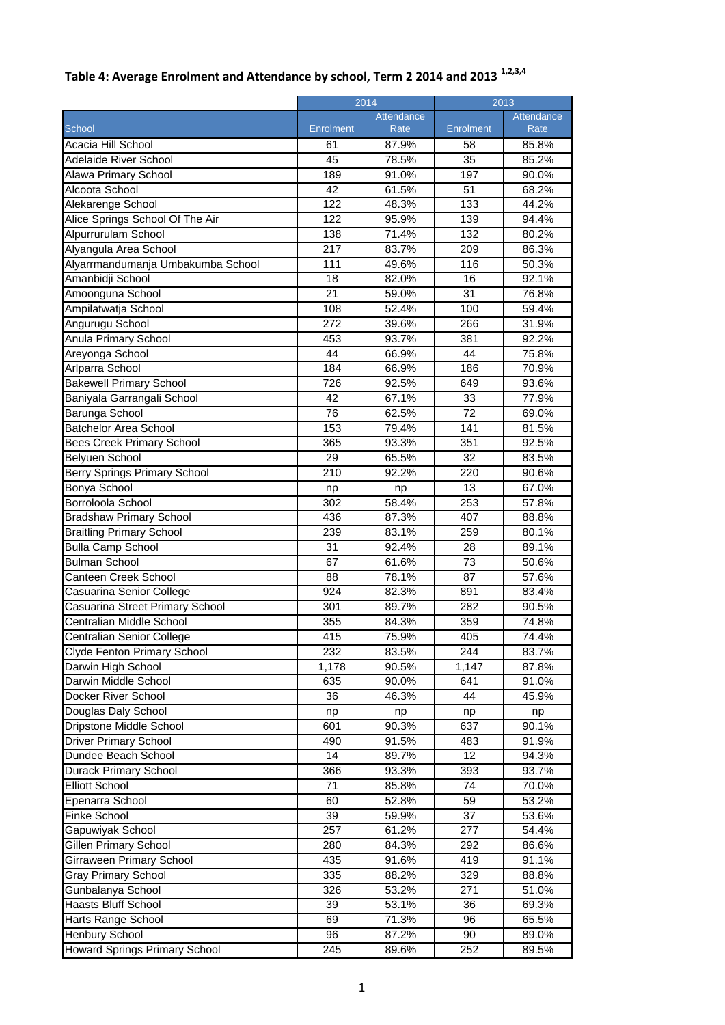| Table 4: Average Enrolment and Attendance by school, Term 2 2014 and 2013 <sup>1,2,3,4</sup> |  |
|----------------------------------------------------------------------------------------------|--|
|----------------------------------------------------------------------------------------------|--|

|                                     |                  | 2014       |           | $\frac{2013}{ }$ |  |
|-------------------------------------|------------------|------------|-----------|------------------|--|
|                                     |                  | Attendance |           | Attendance       |  |
| School                              | Enrolment        | Rate       | Enrolment | Rate             |  |
| Acacia Hill School                  | 61               | 87.9%      | 58        | 85.8%            |  |
| <b>Adelaide River School</b>        | 45               | 78.5%      | 35        | 85.2%            |  |
| Alawa Primary School                | 189              | 91.0%      | 197       | 90.0%            |  |
| Alcoota School                      | 42               | 61.5%      | 51        | 68.2%            |  |
| Alekarenge School                   | $\overline{122}$ | 48.3%      | 133       | 44.2%            |  |
| Alice Springs School Of The Air     | 122              | 95.9%      | 139       | 94.4%            |  |
| Alpurrurulam School                 | 138              | 71.4%      | 132       | 80.2%            |  |
| Alyangula Area School               | 217              | 83.7%      | 209       | 86.3%            |  |
| Alyarrmandumanja Umbakumba School   | 111              | 49.6%      | 116       | 50.3%            |  |
| Amanbidji School                    | 18               | 82.0%      | 16        | 92.1%            |  |
| Amoonguna School                    | 21               | 59.0%      | 31        | 76.8%            |  |
| Ampilatwatja School                 | 108              | 52.4%      | 100       | 59.4%            |  |
| Angurugu School                     | 272              | 39.6%      | 266       | 31.9%            |  |
| <b>Anula Primary School</b>         | 453              | 93.7%      | 381       | 92.2%            |  |
| Areyonga School                     | 44               | 66.9%      | 44        | 75.8%            |  |
| Arlparra School                     | 184              | 66.9%      | 186       | 70.9%            |  |
| <b>Bakewell Primary School</b>      | 726              | 92.5%      | 649       | 93.6%            |  |
| Baniyala Garrangali School          | 42               | 67.1%      | 33        | 77.9%            |  |
| Barunga School                      | 76               | 62.5%      | 72        | 69.0%            |  |
| <b>Batchelor Area School</b>        | 153              | 79.4%      | 141       | 81.5%            |  |
| <b>Bees Creek Primary School</b>    | 365              | 93.3%      | 351       | 92.5%            |  |
| Belyuen School                      | 29               | 65.5%      | 32        | 83.5%            |  |
| <b>Berry Springs Primary School</b> | 210              | 92.2%      | 220       | 90.6%            |  |
| Bonya School                        | np               | np         | 13        | 67.0%            |  |
| Borroloola School                   | 302              | 58.4%      | 253       | 57.8%            |  |
| <b>Bradshaw Primary School</b>      | 436              | 87.3%      | 407       | 88.8%            |  |
| <b>Braitling Primary School</b>     | 239              | 83.1%      | 259       | 80.1%            |  |
| <b>Bulla Camp School</b>            | 31               | 92.4%      | 28        | 89.1%            |  |
| <b>Bulman School</b>                | 67               | 61.6%      | 73        | 50.6%            |  |
| <b>Canteen Creek School</b>         | 88               | 78.1%      | 87        | 57.6%            |  |
| Casuarina Senior College            | 924              | 82.3%      | 891       | 83.4%            |  |
| Casuarina Street Primary School     | 301              | 89.7%      | 282       | 90.5%            |  |
| Centralian Middle School            | 355              | 84.3%      | 359       | 74.8%            |  |
| Centralian Senior College           | 415              | 75.9%      | 405       | 74.4%            |  |
| Clyde Fenton Primary School         | 232              | 83.5%      | 244       | 83.7%            |  |
| Darwin High School                  | 1,178            | 90.5%      | 1,147     | 87.8%            |  |
| Darwin Middle School                | 635              | 90.0%      | 641       | 91.0%            |  |
| Docker River School                 | 36               | 46.3%      | 44        | 45.9%            |  |
| Douglas Daly School                 | np               | np         | np        | np               |  |
| Dripstone Middle School             | 601              | 90.3%      | 637       | 90.1%            |  |
| <b>Driver Primary School</b>        | 490              | 91.5%      | 483       | 91.9%            |  |
| Dundee Beach School                 | 14               | 89.7%      | 12        | 94.3%            |  |
| Durack Primary School               | 366              | 93.3%      | 393       | 93.7%            |  |
| <b>Elliott School</b>               | 71               | 85.8%      | 74        | 70.0%            |  |
| Epenarra School                     | 60               | 52.8%      | 59        | 53.2%            |  |
| <b>Finke School</b>                 | 39               | 59.9%      | 37        | 53.6%            |  |
| Gapuwiyak School                    | 257              | 61.2%      | 277       | 54.4%            |  |
| Gillen Primary School               | 280              | 84.3%      | 292       | 86.6%            |  |
| <b>Girraween Primary School</b>     | 435              | 91.6%      | 419       | 91.1%            |  |
| <b>Gray Primary School</b>          | 335              | 88.2%      | 329       | 88.8%            |  |
| Gunbalanya School                   | 326              | 53.2%      | 271       | 51.0%            |  |
| Haasts Bluff School                 | 39               | 53.1%      | 36        | 69.3%            |  |
| Harts Range School                  | 69               | 71.3%      | 96        | 65.5%            |  |
| <b>Henbury School</b>               | 96               | 87.2%      | 90        | 89.0%            |  |
| Howard Springs Primary School       | 245              | 89.6%      | 252       | 89.5%            |  |
|                                     |                  |            |           |                  |  |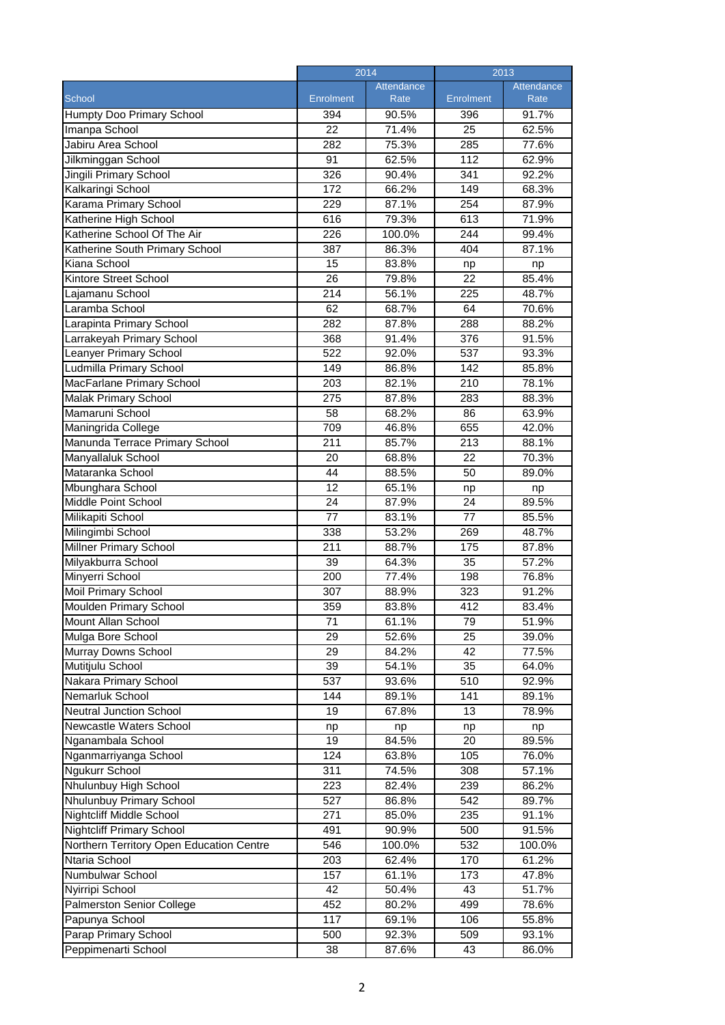|                                          | 2014             |            | 2013             |            |
|------------------------------------------|------------------|------------|------------------|------------|
|                                          |                  | Attendance |                  | Attendance |
| School                                   | <b>Enrolment</b> | Rate       | Enrolment        | Rate       |
| <b>Humpty Doo Primary School</b>         | 394              | 90.5%      | 396              | 91.7%      |
| Imanpa School                            | 22               | 71.4%      | 25               | 62.5%      |
| Jabiru Area School                       | 282              | 75.3%      | 285              | 77.6%      |
| Jilkminggan School                       | 91               | 62.5%      | 112              | 62.9%      |
| Jingili Primary School                   | $\overline{326}$ | 90.4%      | 341              | 92.2%      |
| Kalkaringi School                        | 172              | 66.2%      | 149              | 68.3%      |
| Karama Primary School                    | 229              | 87.1%      | 254              | 87.9%      |
| Katherine High School                    | 616              | 79.3%      | 613              | 71.9%      |
| Katherine School Of The Air              | 226              | 100.0%     | 244              | 99.4%      |
| Katherine South Primary School           | 387              | 86.3%      | 404              | 87.1%      |
| Kiana School                             | 15               | 83.8%      | np               | np         |
| Kintore Street School                    | $\overline{26}$  | 79.8%      | 22               | 85.4%      |
| Lajamanu School                          | $\overline{214}$ | 56.1%      | 225              | 48.7%      |
| Laramba School                           | 62               | 68.7%      | 64               | 70.6%      |
| Larapinta Primary School                 | 282              | 87.8%      | 288              | 88.2%      |
| Larrakeyah Primary School                | 368              | 91.4%      | 376              | 91.5%      |
| Leanyer Primary School                   | 522              | 92.0%      | 537              | 93.3%      |
| Ludmilla Primary School                  | 149              | 86.8%      | 142              | 85.8%      |
| MacFarlane Primary School                | $\overline{203}$ | 82.1%      | 210              | 78.1%      |
| <b>Malak Primary School</b>              | 275              | 87.8%      | 283              | 88.3%      |
| Mamaruni School                          | 58               | 68.2%      | 86               | 63.9%      |
| Maningrida College                       | 709              | 46.8%      | 655              | 42.0%      |
| Manunda Terrace Primary School           | 211              | 85.7%      | 213              | 88.1%      |
| Manyallaluk School                       | 20               | 68.8%      | 22               | 70.3%      |
| Mataranka School                         | 44               | 88.5%      | 50               | 89.0%      |
| Mbunghara School                         | 12               | 65.1%      | np               | np         |
| Middle Point School                      | 24               | 87.9%      | $\overline{24}$  | 89.5%      |
| Milikapiti School                        | 77               | 83.1%      | 77               | 85.5%      |
| Milingimbi School                        | 338              | 53.2%      | 269              | 48.7%      |
| <b>Millner Primary School</b>            | 211              | 88.7%      | 175              | 87.8%      |
| Milyakburra School                       | 39               | 64.3%      | 35               | 57.2%      |
| Minyerri School                          | 200              | 77.4%      | 198              | 76.8%      |
| <b>Moil Primary School</b>               | 307              | 88.9%      | $\overline{3}23$ | 91.2%      |
| <b>Moulden Primary School</b>            | 359              | 83.8%      | 412              | 83.4%      |
| Mount Allan School                       | 71               | 61.1%      | 79               | 51.9%      |
| Mulga Bore School                        | 29               | 52.6%      | 25               | 39.0%      |
| Murray Downs School                      | 29               | 84.2%      | 42               | 77.5%      |
| Mutitjulu School                         | 39               | 54.1%      | 35               | 64.0%      |
| Nakara Primary School                    | 537              | 93.6%      | 510              | 92.9%      |
| Nemarluk School                          | 144              | 89.1%      | 141              | 89.1%      |
| Neutral Junction School                  | 19               | 67.8%      | 13               | 78.9%      |
| Newcastle Waters School                  | np               | np         | np               | np         |
| Nganambala School                        | 19               | 84.5%      | 20               | 89.5%      |
| Nganmarriyanga School                    | 124              | 63.8%      | 105              | 76.0%      |
| <b>Ngukurr School</b>                    | 311              | 74.5%      | 308              | 57.1%      |
| Nhulunbuy High School                    | 223              | 82.4%      | 239              | 86.2%      |
| Nhulunbuy Primary School                 | 527              | 86.8%      | 542              | 89.7%      |
| <b>Nightcliff Middle School</b>          | 271              | 85.0%      | 235              | 91.1%      |
| <b>Nightcliff Primary School</b>         | 491              | 90.9%      | 500              | 91.5%      |
| Northern Territory Open Education Centre | 546              | 100.0%     | 532              | 100.0%     |
| Ntaria School                            | 203              | 62.4%      | 170              | 61.2%      |
| Numbulwar School                         | 157              | 61.1%      | 173              | 47.8%      |
| Nyirripi School                          | 42               | 50.4%      | 43               | 51.7%      |
| <b>Palmerston Senior College</b>         | 452              | 80.2%      | 499              | 78.6%      |
| Papunya School                           | 117              | 69.1%      | 106              | 55.8%      |
| Parap Primary School                     | 500              | 92.3%      | $\overline{509}$ | 93.1%      |
| Peppimenarti School                      | 38               | 87.6%      | 43               | 86.0%      |
|                                          |                  |            |                  |            |